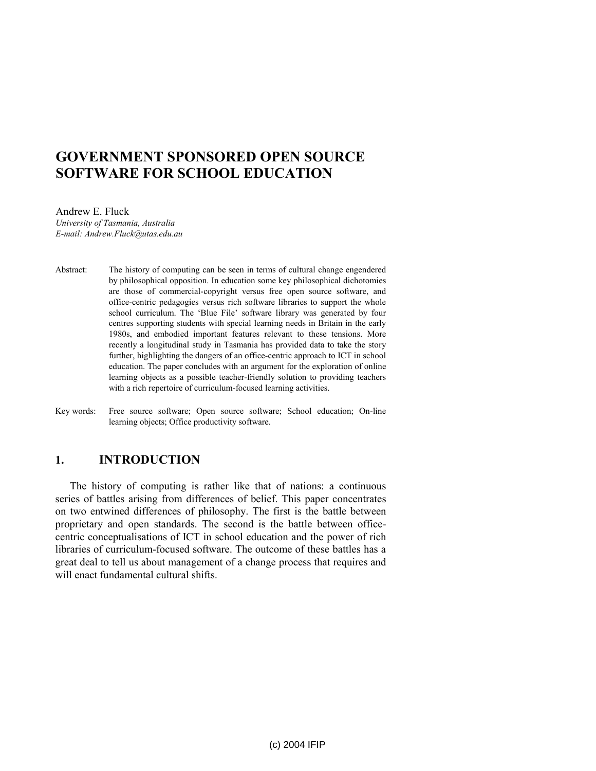# **GOVERNMENT SPONSORED OPEN SOURCE SOFTWARE FOR SCHOOL EDUCATION**

Andrew E. Fluck

*University of Tasmania, Australia E-mail: Andrew.Fluck@utas.edu.au* 

- Abstract: The history of computing can be seen in terms of cultural change engendered by philosophical opposition. In education some key philosophical dichotomies are those of commercial-copyright versus free open source software, and office-centric pedagogies versus rich software libraries to support the whole school curriculum. The 'Blue File' software library was generated by four centres supporting students with special learning needs in Britain in the early 1980s, and embodied important features relevant to these tensions. More recently a longitudinal study in Tasmania has provided data to take the story further, highlighting the dangers of an office-centric approach to ICT in school education. The paper concludes with an argument for the exploration of online learning objects as a possible teacher-friendly solution to providing teachers with a rich repertoire of curriculum-focused learning activities.
- Key words: Free source software; Open source software; School education; On-line learning objects; Office productivity software.

## **1. INTRODUCTION**

The history of computing is rather like that of nations: a continuous series of battles arising from differences of belief. This paper concentrates on two entwined differences of philosophy. The first is the battle between proprietary and open standards. The second is the battle between officecentric conceptualisations of ICT in school education and the power of rich libraries of curriculum-focused software. The outcome of these battles has a great deal to tell us about management of a change process that requires and will enact fundamental cultural shifts.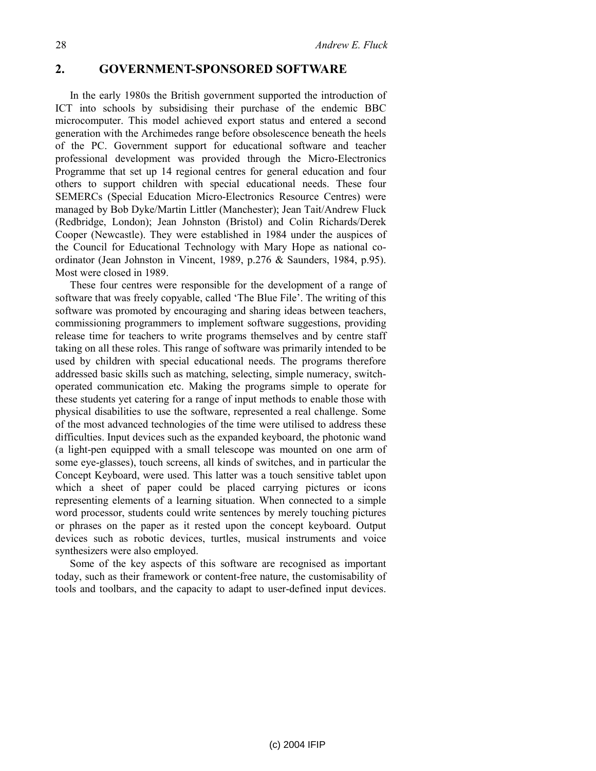#### **2. GOVERNMENT-SPONSORED SOFTWARE**

In the early 1980s the British government supported the introduction of ICT into schools by subsidising their purchase of the endemic BBC microcomputer. This model achieved export status and entered a second generation with the Archimedes range before obsolescence beneath the heels of the PC. Government support for educational software and teacher professional development was provided through the Micro-Electronics Programme that set up 14 regional centres for general education and four others to support children with special educational needs. These four SEMERCs (Special Education Micro-Electronics Resource Centres) were managed by Bob Dyke/Martin Littler (Manchester); Jean Tait/Andrew Fluck (Redbridge, London); Jean Johnston (Bristol) and Colin Richards/Derek Cooper (Newcastle). They were established in 1984 under the auspices of the Council for Educational Technology with Mary Hope as national coordinator (Jean Johnston in Vincent, 1989, p.276 & Saunders, 1984, p.95). Most were closed in 1989.

These four centres were responsible for the development of a range of software that was freely copyable, called 'The Blue File'. The writing of this software was promoted by encouraging and sharing ideas between teachers, commissioning programmers to implement software suggestions, providing release time for teachers to write programs themselves and by centre staff taking on all these roles. This range of software was primarily intended to be used by children with special educational needs. The programs therefore addressed basic skills such as matching, selecting, simple numeracy, switchoperated communication etc. Making the programs simple to operate for these students yet catering for a range of input methods to enable those with physical disabilities to use the software, represented a real challenge. Some of the most advanced technologies of the time were utilised to address these difficulties. Input devices such as the expanded keyboard, the photonic wand (a light-pen equipped with a small telescope was mounted on one arm of some eye-glasses), touch screens, all kinds of switches, and in particular the Concept Keyboard, were used. This latter was a touch sensitive tablet upon which a sheet of paper could be placed carrying pictures or icons representing elements of a learning situation. When connected to a simple word processor, students could write sentences by merely touching pictures or phrases on the paper as it rested upon the concept keyboard. Output devices such as robotic devices, turtles, musical instruments and voice synthesizers were also employed.

Some of the key aspects of this software are recognised as important today, such as their framework or content-free nature, the customisability of tools and toolbars, and the capacity to adapt to user-defined input devices.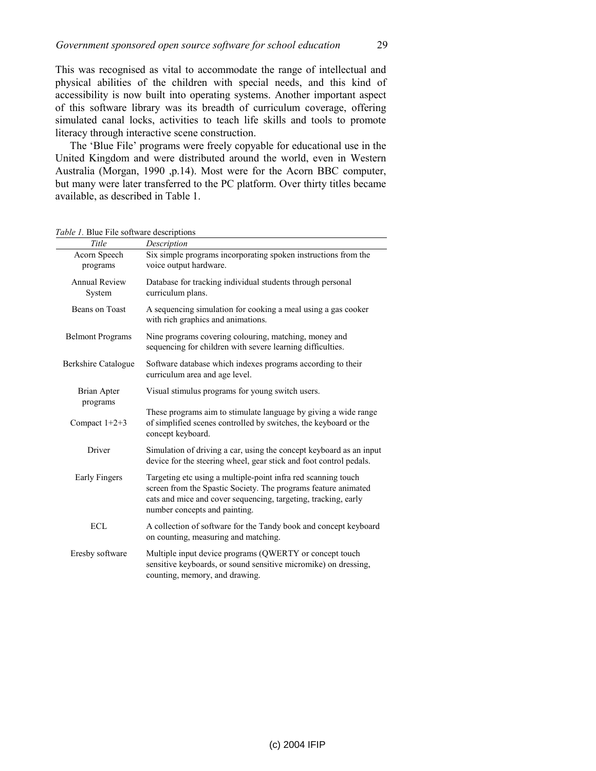This was recognised as vital to accommodate the range of intellectual and physical abilities of the children with special needs, and this kind of accessibility is now built into operating systems. Another important aspect of this software library was its breadth of curriculum coverage, offering simulated canal locks, activities to teach life skills and tools to promote literacy through interactive scene construction.

The 'Blue File' programs were freely copyable for educational use in the United Kingdom and were distributed around the world, even in Western Australia (Morgan, 1990 ,p.14). Most were for the Acorn BBC computer, but many were later transferred to the PC platform. Over thirty titles became available, as described in Table 1.

*Table 1.* Blue File software descriptions

| Title                          | Description                                                                                                                                                                                                                        |  |  |  |
|--------------------------------|------------------------------------------------------------------------------------------------------------------------------------------------------------------------------------------------------------------------------------|--|--|--|
| Acorn Speech<br>programs       | Six simple programs incorporating spoken instructions from the<br>voice output hardware.                                                                                                                                           |  |  |  |
| <b>Annual Review</b><br>System | Database for tracking individual students through personal<br>curriculum plans.                                                                                                                                                    |  |  |  |
| Beans on Toast                 | A sequencing simulation for cooking a meal using a gas cooker<br>with rich graphics and animations.                                                                                                                                |  |  |  |
| <b>Belmont Programs</b>        | Nine programs covering colouring, matching, money and<br>sequencing for children with severe learning difficulties.                                                                                                                |  |  |  |
| Berkshire Catalogue            | Software database which indexes programs according to their<br>curriculum area and age level.                                                                                                                                      |  |  |  |
| Brian Apter<br>programs        | Visual stimulus programs for young switch users.                                                                                                                                                                                   |  |  |  |
| Compact $1+2+3$                | These programs aim to stimulate language by giving a wide range<br>of simplified scenes controlled by switches, the keyboard or the<br>concept keyboard.                                                                           |  |  |  |
| Driver                         | Simulation of driving a car, using the concept keyboard as an input<br>device for the steering wheel, gear stick and foot control pedals.                                                                                          |  |  |  |
| Early Fingers                  | Targeting etc using a multiple-point infra red scanning touch<br>screen from the Spastic Society. The programs feature animated<br>cats and mice and cover sequencing, targeting, tracking, early<br>number concepts and painting. |  |  |  |
| ECL                            | A collection of software for the Tandy book and concept keyboard<br>on counting, measuring and matching.                                                                                                                           |  |  |  |
| Eresby software                | Multiple input device programs (QWERTY or concept touch<br>sensitive keyboards, or sound sensitive micromike) on dressing,<br>counting, memory, and drawing.                                                                       |  |  |  |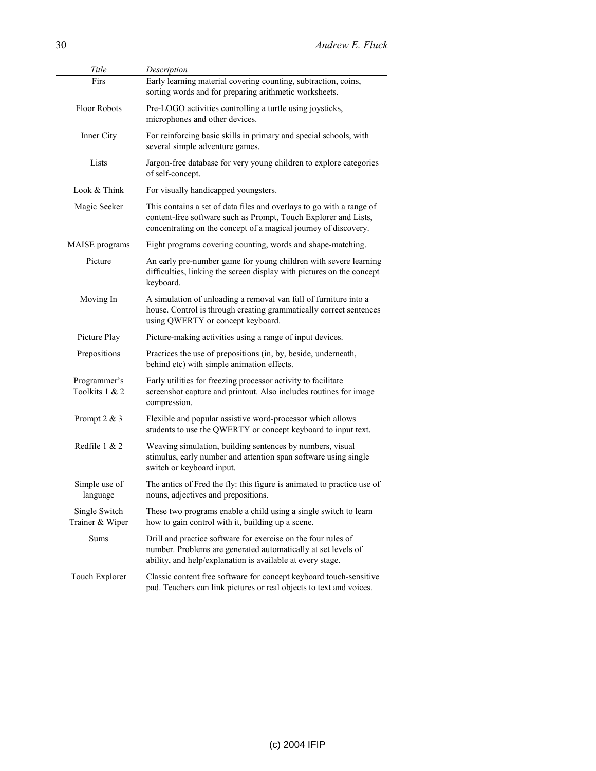| Title                            | Description                                                                                                                                                                                                |  |  |  |
|----------------------------------|------------------------------------------------------------------------------------------------------------------------------------------------------------------------------------------------------------|--|--|--|
| Firs                             | Early learning material covering counting, subtraction, coins,<br>sorting words and for preparing arithmetic worksheets.                                                                                   |  |  |  |
| <b>Floor Robots</b>              | Pre-LOGO activities controlling a turtle using joysticks,<br>microphones and other devices.                                                                                                                |  |  |  |
| Inner City                       | For reinforcing basic skills in primary and special schools, with<br>several simple adventure games.                                                                                                       |  |  |  |
| Lists                            | Jargon-free database for very young children to explore categories<br>of self-concept.                                                                                                                     |  |  |  |
| Look & Think                     | For visually handicapped youngsters.                                                                                                                                                                       |  |  |  |
| Magic Seeker                     | This contains a set of data files and overlays to go with a range of<br>content-free software such as Prompt, Touch Explorer and Lists,<br>concentrating on the concept of a magical journey of discovery. |  |  |  |
| MAISE programs                   | Eight programs covering counting, words and shape-matching.                                                                                                                                                |  |  |  |
| Picture                          | An early pre-number game for young children with severe learning<br>difficulties, linking the screen display with pictures on the concept<br>keyboard.                                                     |  |  |  |
| Moving In                        | A simulation of unloading a removal van full of furniture into a<br>house. Control is through creating grammatically correct sentences<br>using QWERTY or concept keyboard.                                |  |  |  |
| Picture Play                     | Picture-making activities using a range of input devices.                                                                                                                                                  |  |  |  |
| Prepositions                     | Practices the use of prepositions (in, by, beside, underneath,<br>behind etc) with simple animation effects.                                                                                               |  |  |  |
| Programmer's<br>Toolkits 1 & 2   | Early utilities for freezing processor activity to facilitate<br>screenshot capture and printout. Also includes routines for image<br>compression.                                                         |  |  |  |
| Prompt $2 & 3$                   | Flexible and popular assistive word-processor which allows<br>students to use the QWERTY or concept keyboard to input text.                                                                                |  |  |  |
| Redfile 1 & 2                    | Weaving simulation, building sentences by numbers, visual<br>stimulus, early number and attention span software using single<br>switch or keyboard input.                                                  |  |  |  |
| Simple use of<br>language        | The antics of Fred the fly: this figure is animated to practice use of<br>nouns, adjectives and prepositions.                                                                                              |  |  |  |
| Single Switch<br>Trainer & Wiper | These two programs enable a child using a single switch to learn<br>how to gain control with it, building up a scene.                                                                                      |  |  |  |
| Sums                             | Drill and practice software for exercise on the four rules of<br>number. Problems are generated automatically at set levels of<br>ability, and help/explanation is available at every stage.               |  |  |  |
| Touch Explorer                   | Classic content free software for concept keyboard touch-sensitive<br>pad. Teachers can link pictures or real objects to text and voices.                                                                  |  |  |  |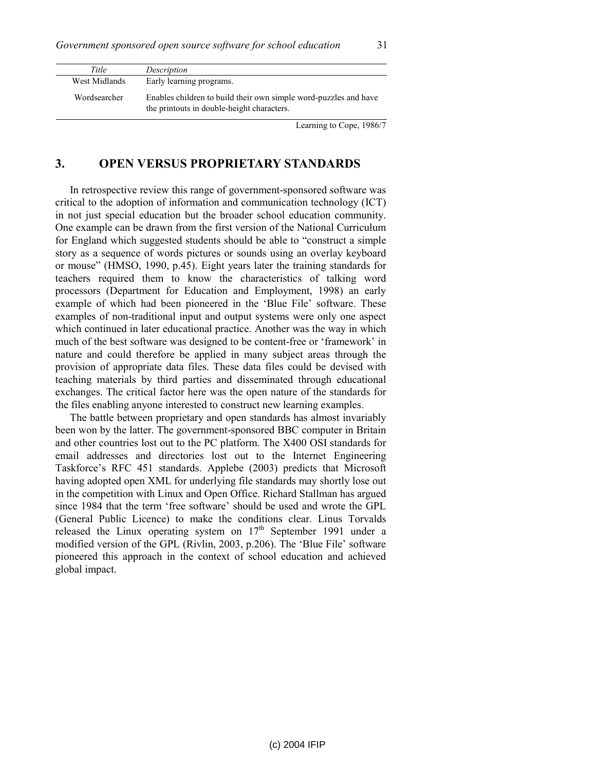| Title         | Description                                                                                                    |
|---------------|----------------------------------------------------------------------------------------------------------------|
| West Midlands | Early learning programs.                                                                                       |
| Wordsearcher  | Enables children to build their own simple word-puzzles and have<br>the printouts in double-height characters. |

Learning to Cope, 1986/7

# **3. OPEN VERSUS PROPRIETARY STANDARDS**

In retrospective review this range of government-sponsored software was critical to the adoption of information and communication technology (ICT) in not just special education but the broader school education community. One example can be drawn from the first version of the National Curriculum for England which suggested students should be able to "construct a simple story as a sequence of words pictures or sounds using an overlay keyboard or mouse" (HMSO, 1990, p.45). Eight years later the training standards for teachers required them to know the characteristics of talking word processors (Department for Education and Employment, 1998) an early example of which had been pioneered in the 'Blue File' software. These examples of non-traditional input and output systems were only one aspect which continued in later educational practice. Another was the way in which much of the best software was designed to be content-free or 'framework' in nature and could therefore be applied in many subject areas through the provision of appropriate data files. These data files could be devised with teaching materials by third parties and disseminated through educational exchanges. The critical factor here was the open nature of the standards for the files enabling anyone interested to construct new learning examples.

The battle between proprietary and open standards has almost invariably been won by the latter. The government-sponsored BBC computer in Britain and other countries lost out to the PC platform. The X400 OSI standards for email addresses and directories lost out to the Internet Engineering Taskforce's RFC 451 standards. Applebe (2003) predicts that Microsoft having adopted open XML for underlying file standards may shortly lose out in the competition with Linux and Open Office. Richard Stallman has argued since 1984 that the term 'free software' should be used and wrote the GPL (General Public Licence) to make the conditions clear. Linus Torvalds released the Linux operating system on  $17<sup>th</sup>$  September 1991 under a modified version of the GPL (Rivlin, 2003, p.206). The 'Blue File' software pioneered this approach in the context of school education and achieved global impact.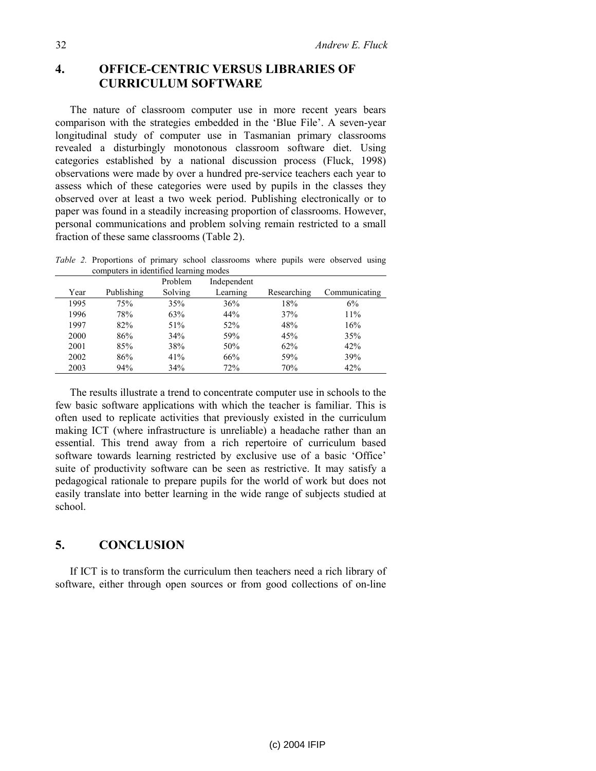## **4. OFFICE-CENTRIC VERSUS LIBRARIES OF CURRICULUM SOFTWARE**

The nature of classroom computer use in more recent years bears comparison with the strategies embedded in the 'Blue File'. A seven-year longitudinal study of computer use in Tasmanian primary classrooms revealed a disturbingly monotonous classroom software diet. Using categories established by a national discussion process (Fluck, 1998) observations were made by over a hundred pre-service teachers each year to assess which of these categories were used by pupils in the classes they observed over at least a two week period. Publishing electronically or to paper was found in a steadily increasing proportion of classrooms. However, personal communications and problem solving remain restricted to a small fraction of these same classrooms (Table 2).

*Table 2.* Proportions of primary school classrooms where pupils were observed using computers in identified learning modes

|      |            | Problem | Independent |             |               |
|------|------------|---------|-------------|-------------|---------------|
| Year | Publishing | Solving | Learning    | Researching | Communicating |
| 1995 | 75%        | 35%     | 36%         | 18%         | 6%            |
| 1996 | 78%        | 63%     | 44%         | 37%         | 11%           |
| 1997 | 82%        | 51%     | 52%         | 48%         | 16%           |
| 2000 | 86%        | 34%     | 59%         | 45%         | 35%           |
| 2001 | 85%        | 38%     | 50%         | 62%         | 42%           |
| 2002 | 86%        | 41%     | 66%         | 59%         | 39%           |
| 2003 | 94%        | 34%     | 72%         | 70%         | 42%           |

The results illustrate a trend to concentrate computer use in schools to the few basic software applications with which the teacher is familiar. This is often used to replicate activities that previously existed in the curriculum making ICT (where infrastructure is unreliable) a headache rather than an essential. This trend away from a rich repertoire of curriculum based software towards learning restricted by exclusive use of a basic 'Office' suite of productivity software can be seen as restrictive. It may satisfy a pedagogical rationale to prepare pupils for the world of work but does not easily translate into better learning in the wide range of subjects studied at school.

### **5. CONCLUSION**

If ICT is to transform the curriculum then teachers need a rich library of software, either through open sources or from good collections of on-line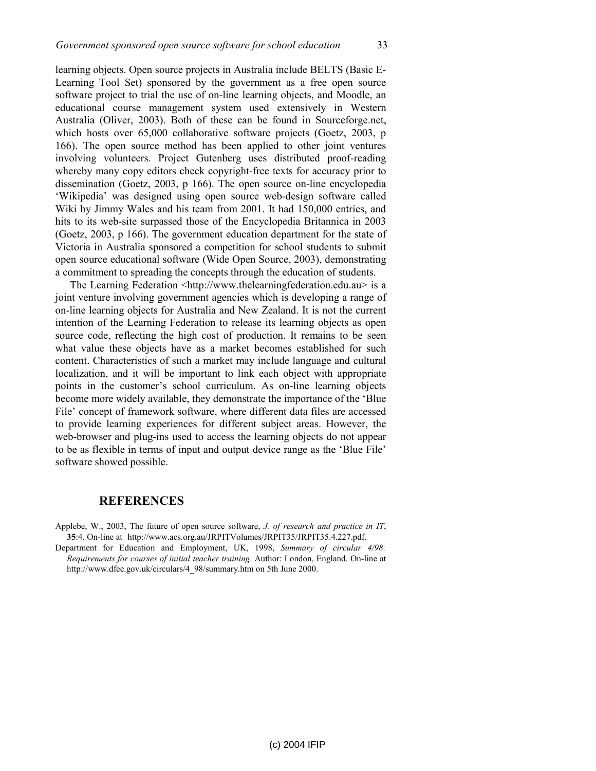learning objects. Open source projects in Australia include BELTS (Basic E-Learning Tool Set) sponsored by the government as a free open source software project to trial the use of on-line learning objects, and Moodle, an educational course management system used extensively in Western Australia (Oliver, 2003). Both of these can be found in Sourceforge.net, which hosts over 65,000 collaborative software projects (Goetz, 2003, p 166). The open source method has been applied to other joint ventures involving volunteers. Project Gutenberg uses distributed proof-reading whereby many copy editors check copyright-free texts for accuracy prior to dissemination (Goetz, 2003, p 166). The open source on-line encyclopedia 'Wikipedia' was designed using open source web-design software called Wiki by Jimmy Wales and his team from 2001. It had 150,000 entries, and hits to its web-site surpassed those of the Encyclopedia Britannica in 2003 (Goetz, 2003, p 166). The government education department for the state of Victoria in Australia sponsored a competition for school students to submit open source educational software (Wide Open Source, 2003), demonstrating a commitment to spreading the concepts through the education of students.

The Learning Federation <http://www.thelearningfederation.edu.au> is a joint venture involving government agencies which is developing a range of on-line learning objects for Australia and New Zealand. It is not the current intention of the Learning Federation to release its learning objects as open source code, reflecting the high cost of production. It remains to be seen what value these objects have as a market becomes established for such content. Characteristics of such a market may include language and cultural localization, and it will be important to link each object with appropriate points in the customer's school curriculum. As on-line learning objects become more widely available, they demonstrate the importance of the 'Blue File' concept of framework software, where different data files are accessed to provide learning experiences for different subject areas. However, the web-browser and plug-ins used to access the learning objects do not appear to be as flexible in terms of input and output device range as the 'Blue File' software showed possible.

#### **REFERENCES**

Applebe, W., 2003, The future of open source software, *J. of research and practice in IT*, **35**:4. On-line at http://www.acs.org.au/JRPITVolumes/JRPIT35/JRPIT35.4.227.pdf.

Department for Education and Employment, UK, 1998, *Summary of circular 4/98: Requirements for courses of initial teacher training*. Author: London, England. On-line at http://www.dfee.gov.uk/circulars/4\_98/summary.htm on 5th June 2000.